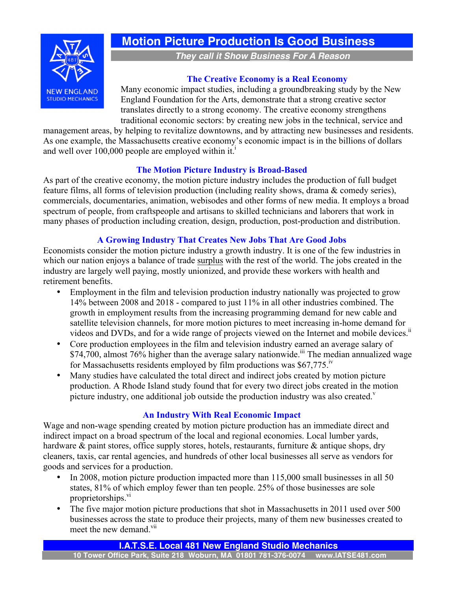

# **Motion Picture Production Is Good Business**

*They call it Show Business For A Reason*

#### **The Creative Economy is a Real Economy**

Many economic impact studies, including a groundbreaking study by the New England Foundation for the Arts, demonstrate that a strong creative sector translates directly to a strong economy. The creative economy strengthens traditional economic sectors: by creating new jobs in the technical, service and

management areas, by helping to revitalize downtowns, and by attracting new businesses and residents. As one example, the Massachusetts creative economy's economic impact is in the billions of dollars and well over 100,000 people are employed within it.<sup>1</sup>

#### **The Motion Picture Industry is Broad-Based**

As part of the creative economy, the motion picture industry includes the production of full budget feature films, all forms of television production (including reality shows, drama & comedy series), commercials, documentaries, animation, webisodes and other forms of new media. It employs a broad spectrum of people, from craftspeople and artisans to skilled technicians and laborers that work in many phases of production including creation, design, production, post-production and distribution.

## **A Growing Industry That Creates New Jobs That Are Good Jobs**

Economists consider the motion picture industry a growth industry. It is one of the few industries in which our nation enjoys a balance of trade surplus with the rest of the world. The jobs created in the industry are largely well paying, mostly unionized, and provide these workers with health and retirement benefits.

- Employment in the film and television production industry nationally was projected to grow 14% between 2008 and 2018 - compared to just 11% in all other industries combined. The growth in employment results from the increasing programming demand for new cable and satellite television channels, for more motion pictures to meet increasing in-home demand for videos and DVDs, and for a wide range of projects viewed on the Internet and mobile devices.<sup>ii</sup>
- Core production employees in the film and television industry earned an average salary of  $$74,700$ , almost  $76\%$  higher than the average salary nationwide.<sup>iii</sup> The median annualized wage for Massachusetts residents employed by film productions was  $$67,775$ .<sup>iv</sup>
- Many studies have calculated the total direct and indirect jobs created by motion picture production. A Rhode Island study found that for every two direct jobs created in the motion picture industry, one additional job outside the production industry was also created. $v$

#### **An Industry With Real Economic Impact**

Wage and non-wage spending created by motion picture production has an immediate direct and indirect impact on a broad spectrum of the local and regional economies. Local lumber yards, hardware & paint stores, office supply stores, hotels, restaurants, furniture & antique shops, dry cleaners, taxis, car rental agencies, and hundreds of other local businesses all serve as vendors for goods and services for a production.

- In 2008, motion picture production impacted more than 115,000 small businesses in all 50 states, 81% of which employ fewer than ten people. 25% of those businesses are sole proprietorships.<sup>vi</sup>
- The five major motion picture productions that shot in Massachusetts in 2011 used over 500 businesses across the state to produce their projects, many of them new businesses created to meet the new demand.<sup>vii</sup>